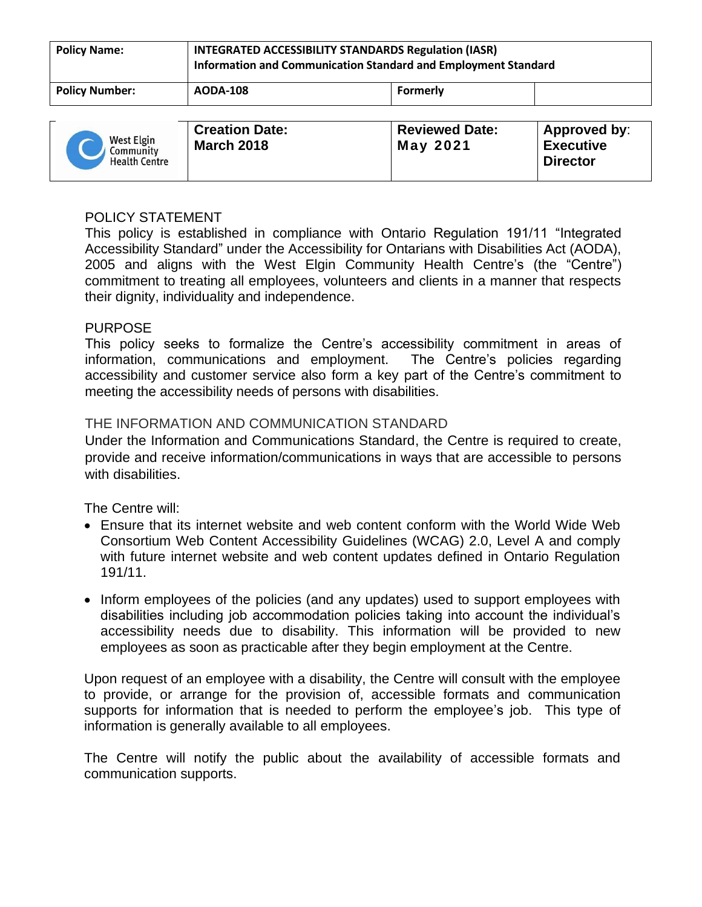| <b>Policy Name:</b>   | <b>INTEGRATED ACCESSIBILITY STANDARDS Regulation (IASR)</b><br>Information and Communication Standard and Employment Standard |                 |              |
|-----------------------|-------------------------------------------------------------------------------------------------------------------------------|-----------------|--------------|
| <b>Policy Number:</b> | <b>AODA-108</b>                                                                                                               | <b>Formerly</b> |              |
|                       | Creation Date:                                                                                                                | Reviewed Date:  | Annroved by: |

| West Elgin<br>Community<br><b>Health Centre</b> | <b>Creation Date:</b><br><b>March 2018</b> | <b>Reviewed Date:</b><br><b>May 2021</b> | Approved by:<br><b>Executive</b><br><b>Director</b> |
|-------------------------------------------------|--------------------------------------------|------------------------------------------|-----------------------------------------------------|
|-------------------------------------------------|--------------------------------------------|------------------------------------------|-----------------------------------------------------|

## POLICY STATEMENT

This policy is established in compliance with Ontario Regulation 191/11 "Integrated Accessibility Standard" under the Accessibility for Ontarians with Disabilities Act (AODA), 2005 and aligns with the West Elgin Community Health Centre's (the "Centre") commitment to treating all employees, volunteers and clients in a manner that respects their dignity, individuality and independence.

## PURPOSE

This policy seeks to formalize the Centre's accessibility commitment in areas of information, communications and employment. The Centre's policies regarding accessibility and customer service also form a key part of the Centre's commitment to meeting the accessibility needs of persons with disabilities.

# THE INFORMATION AND COMMUNICATION STANDARD

Under the Information and Communications Standard, the Centre is required to create, provide and receive information/communications in ways that are accessible to persons with disabilities.

The Centre will:

- Ensure that its internet website and web content conform with the World Wide Web Consortium Web Content Accessibility Guidelines (WCAG) 2.0, Level A and comply with future internet website and web content updates defined in Ontario Regulation 191/11.
- Inform employees of the policies (and any updates) used to support employees with disabilities including job accommodation policies taking into account the individual's accessibility needs due to disability. This information will be provided to new employees as soon as practicable after they begin employment at the Centre.

Upon request of an employee with a disability, the Centre will consult with the employee to provide, or arrange for the provision of, accessible formats and communication supports for information that is needed to perform the employee's job. This type of information is generally available to all employees.

The Centre will notify the public about the availability of accessible formats and communication supports.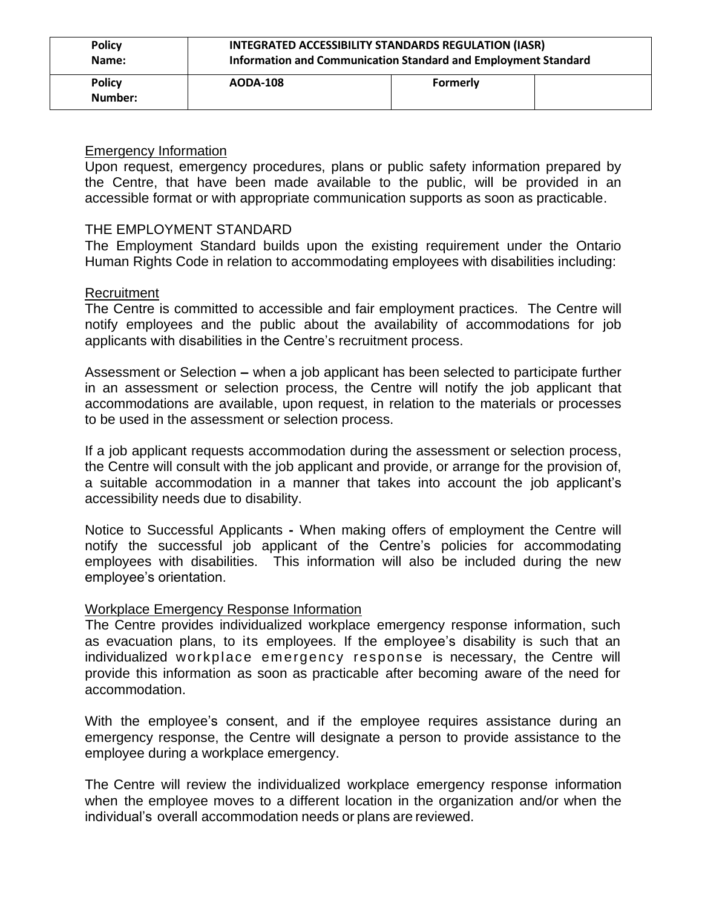| <b>Policy</b>            | INTEGRATED ACCESSIBILITY STANDARDS REGULATION (IASR)           |                 |  |
|--------------------------|----------------------------------------------------------------|-----------------|--|
| Name:                    | Information and Communication Standard and Employment Standard |                 |  |
| <b>Policy</b><br>Number: | <b>AODA-108</b>                                                | <b>Formerly</b> |  |

#### Emergency Information

Upon request, emergency procedures, plans or public safety information prepared by the Centre, that have been made available to the public, will be provided in an accessible format or with appropriate communication supports as soon as practicable.

## THE EMPLOYMENT STANDARD

The Employment Standard builds upon the existing requirement under the Ontario Human Rights Code in relation to accommodating employees with disabilities including:

## Recruitment

The Centre is committed to accessible and fair employment practices. The Centre will notify employees and the public about the availability of accommodations for job applicants with disabilities in the Centre's recruitment process.

Assessment or Selection **–** when a job applicant has been selected to participate further in an assessment or selection process, the Centre will notify the job applicant that accommodations are available, upon request, in relation to the materials or processes to be used in the assessment or selection process.

If a job applicant requests accommodation during the assessment or selection process, the Centre will consult with the job applicant and provide, or arrange for the provision of, a suitable accommodation in a manner that takes into account the job applicant's accessibility needs due to disability.

Notice to Successful Applicants **-** When making offers of employment the Centre will notify the successful job applicant of the Centre's policies for accommodating employees with disabilities. This information will also be included during the new employee's orientation.

# Workplace Emergency Response Information

The Centre provides individualized workplace emergency response information, such as evacuation plans, to its employees. If the employee's disability is such that an individualized workplace emergency response is necessary, the Centre will provide this information as soon as practicable after becoming aware of the need for accommodation.

With the employee's consent, and if the employee requires assistance during an emergency response, the Centre will designate a person to provide assistance to the employee during a workplace emergency.

The Centre will review the individualized workplace emergency response information when the employee moves to a different location in the organization and/or when the individual's overall accommodation needs or plans are reviewed.